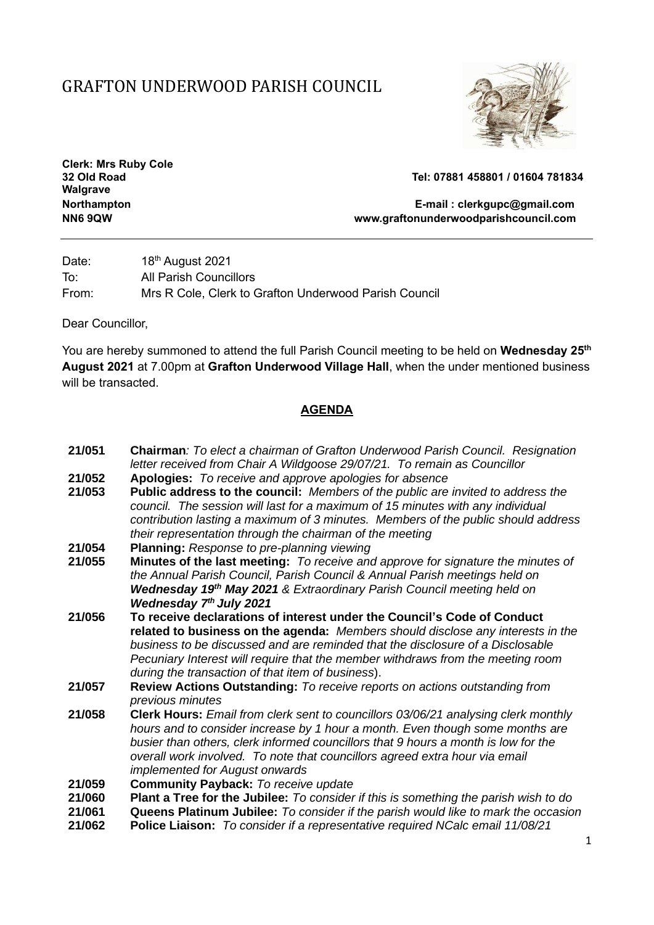## GRAFTON UNDERWOOD PARISH COUNCIL



**Clerk: Mrs Ruby Cole Walgrave**

**32 Old Road Tel: 07881 458801 / 01604 781834**

**Northampton E-mail : [clerkgupc@gmail.com](mailto:clerkgupc@gmail.com) NN6 9QW www.graftonunderwoodparishcouncil.com**

Date: 18<sup>th</sup> August 2021 To: All Parish Councillors From: Mrs R Cole, Clerk to Grafton Underwood Parish Council

Dear Councillor,

You are hereby summoned to attend the full Parish Council meeting to be held on **Wednesday 25th August 2021** at 7.00pm at **Grafton Underwood Village Hall**, when the under mentioned business will be transacted.

## **AGENDA**

- **21/051 Chairman***: To elect a chairman of Grafton Underwood Parish Council. Resignation letter received from Chair A Wildgoose 29/07/21. To remain as Councillor* **21/052 Apologies:** *To receive and approve apologies for absence*
- **21/053 Public address to the council:** *Members of the public are invited to address the council. The session will last for a maximum of 15 minutes with any individual contribution lasting a maximum of 3 minutes. Members of the public should address their representation through the chairman of the meeting*
- **21/054 Planning:** *Response to pre-planning viewing*
- **21/055 Minutes of the last meeting:** *To receive and approve for signature the minutes of the Annual Parish Council, Parish Council & Annual Parish meetings held on Wednesday 19th May 2021 & Extraordinary Parish Council meeting held on Wednesday 7th July 2021*
- **21/056 To receive declarations of interest under the Council's Code of Conduct related to business on the agenda:** *Members should disclose any interests in the business to be discussed and are reminded that the disclosure of a Disclosable Pecuniary Interest will require that the member withdraws from the meeting room during the transaction of that item of business*).
- **21/057 Review Actions Outstanding:** *To receive reports on actions outstanding from previous minutes*
- **21/058 Clerk Hours:** *Email from clerk sent to councillors 03/06/21 analysing clerk monthly hours and to consider increase by 1 hour a month. Even though some months are busier than others, clerk informed councillors that 9 hours a month is low for the overall work involved. To note that councillors agreed extra hour via email implemented for August onwards*
- **21/059 Community Payback:** *To receive update*
- **21/060 Plant a Tree for the Jubilee:** *To consider if this is something the parish wish to do*
- **21/061 Queens Platinum Jubilee:** *To consider if the parish would like to mark the occasion*
- **21/062 Police Liaison:** *To consider if a representative required NCalc email 11/08/21*